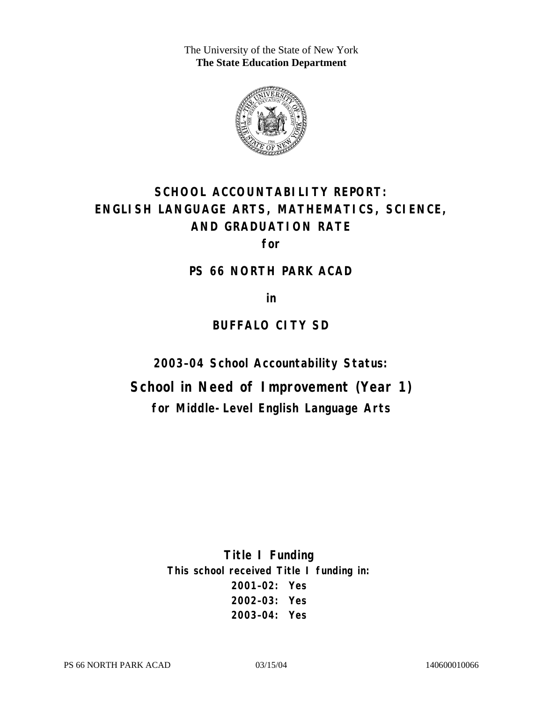The University of the State of New York **The State Education Department** 



# **SCHOOL ACCOUNTABILITY REPORT: ENGLISH LANGUAGE ARTS, MATHEMATICS, SCIENCE, AND GRADUATION RATE**

**for** 

#### **PS 66 NORTH PARK ACAD**

**in** 

# **BUFFALO CITY SD**

**2003–04 School Accountability Status:** 

**School in Need of Improvement (Year 1) for Middle-Level English Language Arts**

> **Title I Funding This school received Title I funding in: 2001–02: Yes 2002–03: Yes 2003–04: Yes**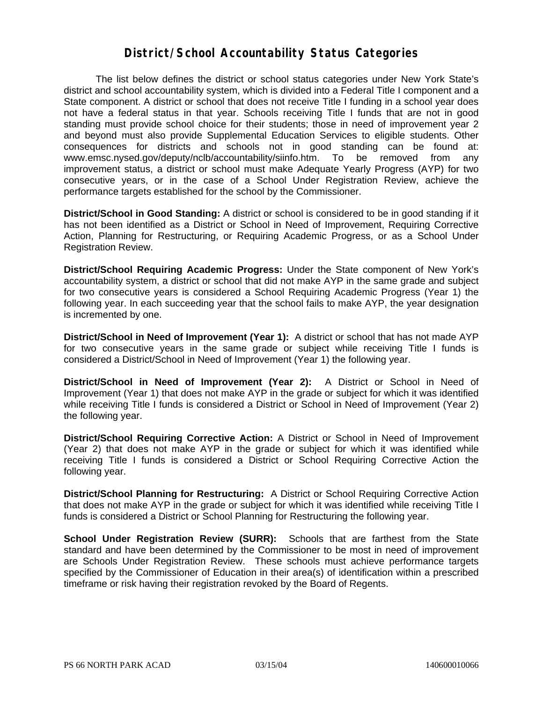#### **District/School Accountability Status Categories**

The list below defines the district or school status categories under New York State's district and school accountability system, which is divided into a Federal Title I component and a State component. A district or school that does not receive Title I funding in a school year does not have a federal status in that year. Schools receiving Title I funds that are not in good standing must provide school choice for their students; those in need of improvement year 2 and beyond must also provide Supplemental Education Services to eligible students. Other consequences for districts and schools not in good standing can be found at: www.emsc.nysed.gov/deputy/nclb/accountability/siinfo.htm. To be removed from any improvement status, a district or school must make Adequate Yearly Progress (AYP) for two consecutive years, or in the case of a School Under Registration Review, achieve the performance targets established for the school by the Commissioner.

**District/School in Good Standing:** A district or school is considered to be in good standing if it has not been identified as a District or School in Need of Improvement, Requiring Corrective Action, Planning for Restructuring, or Requiring Academic Progress, or as a School Under Registration Review.

**District/School Requiring Academic Progress:** Under the State component of New York's accountability system, a district or school that did not make AYP in the same grade and subject for two consecutive years is considered a School Requiring Academic Progress (Year 1) the following year. In each succeeding year that the school fails to make AYP, the year designation is incremented by one.

**District/School in Need of Improvement (Year 1):** A district or school that has not made AYP for two consecutive years in the same grade or subject while receiving Title I funds is considered a District/School in Need of Improvement (Year 1) the following year.

**District/School in Need of Improvement (Year 2):** A District or School in Need of Improvement (Year 1) that does not make AYP in the grade or subject for which it was identified while receiving Title I funds is considered a District or School in Need of Improvement (Year 2) the following year.

**District/School Requiring Corrective Action:** A District or School in Need of Improvement (Year 2) that does not make AYP in the grade or subject for which it was identified while receiving Title I funds is considered a District or School Requiring Corrective Action the following year.

**District/School Planning for Restructuring:** A District or School Requiring Corrective Action that does not make AYP in the grade or subject for which it was identified while receiving Title I funds is considered a District or School Planning for Restructuring the following year.

**School Under Registration Review (SURR):** Schools that are farthest from the State standard and have been determined by the Commissioner to be most in need of improvement are Schools Under Registration Review. These schools must achieve performance targets specified by the Commissioner of Education in their area(s) of identification within a prescribed timeframe or risk having their registration revoked by the Board of Regents.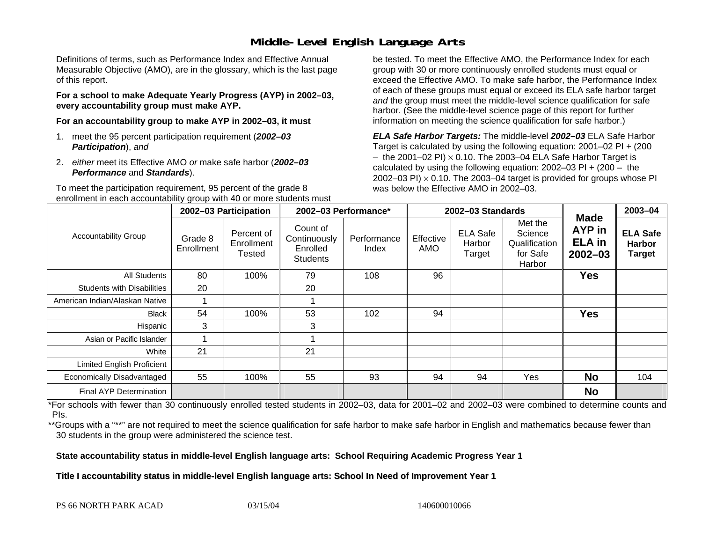## **Middle-Level English Language Arts**

Definitions of terms, such as Performance Index and Effective Annual Measurable Objective (AMO), are in the glossary, which is the last page of this report.

**For a school to make Adequate Yearly Progress (AYP) in 2002–03, every accountability group must make AYP.** 

**For an accountability group to make AYP in 2002–03, it must** 

- 1. meet the 95 percent participation requirement (*2002–03 Participation*), *and*
- 2. *either* meet its Effective AMO *or* make safe harbor (*2002–03 Performance* and *Standards*).

To meet the participation requirement, 95 percent of the grade 8 enrollment in each accountability group with 40 or more students must

be tested. To meet the Effective AMO, the Performance Index for each group with 30 or more continuously enrolled students must equal or exceed the Effective AMO. To make safe harbor, the Performance Index of each of these groups must equal or exceed its ELA safe harbor target *and* the group must meet the middle-level science qualification for safe harbor. (See the middle-level science page of this report for further information on meeting the science qualification for safe harbor.)

*ELA Safe Harbor Targets:* The middle-level *2002–03* ELA Safe Harbor Target is calculated by using the following equation: 2001–02 PI + (200  $-$  the 2001–02 PI)  $\times$  0.10. The 2003–04 ELA Safe Harbor Target is  $\,$ calculated by using the following equation:  $2002-03$  PI +  $(200 -$  the 2002–03 PI)  $\times$  0.10. The 2003–04 target is provided for groups whose PI was below the Effective AMO in 2002–03.

| <b>Accountability Group</b>       | 2002-03 Participation |                                    | 2002-03 Performance*                                    |                      | 2002-03 Standards       |                                     |                                                           |                                                              | 2003-04                                           |
|-----------------------------------|-----------------------|------------------------------------|---------------------------------------------------------|----------------------|-------------------------|-------------------------------------|-----------------------------------------------------------|--------------------------------------------------------------|---------------------------------------------------|
|                                   | Grade 8<br>Enrollment | Percent of<br>Enrollment<br>Tested | Count of<br>Continuously<br>Enrolled<br><b>Students</b> | Performance<br>Index | Effective<br><b>AMO</b> | <b>ELA Safe</b><br>Harbor<br>Target | Met the<br>Science<br>Qualification<br>for Safe<br>Harbor | <b>Made</b><br><b>AYP</b> in<br><b>ELA in</b><br>$2002 - 03$ | <b>ELA Safe</b><br><b>Harbor</b><br><b>Target</b> |
| All Students                      | 80                    | 100%                               | 79                                                      | 108                  | 96                      |                                     |                                                           | <b>Yes</b>                                                   |                                                   |
| <b>Students with Disabilities</b> | 20                    |                                    | 20                                                      |                      |                         |                                     |                                                           |                                                              |                                                   |
| American Indian/Alaskan Native    |                       |                                    |                                                         |                      |                         |                                     |                                                           |                                                              |                                                   |
| <b>Black</b>                      | 54                    | 100%                               | 53                                                      | 102                  | 94                      |                                     |                                                           | <b>Yes</b>                                                   |                                                   |
| Hispanic                          | 3                     |                                    | 3                                                       |                      |                         |                                     |                                                           |                                                              |                                                   |
| Asian or Pacific Islander         |                       |                                    |                                                         |                      |                         |                                     |                                                           |                                                              |                                                   |
| White                             | 21                    |                                    | 21                                                      |                      |                         |                                     |                                                           |                                                              |                                                   |
| Limited English Proficient        |                       |                                    |                                                         |                      |                         |                                     |                                                           |                                                              |                                                   |
| Economically Disadvantaged        | 55                    | 100%                               | 55                                                      | 93                   | 94                      | 94                                  | Yes                                                       | <b>No</b>                                                    | 104                                               |
| <b>Final AYP Determination</b>    |                       |                                    |                                                         |                      |                         |                                     |                                                           | <b>No</b>                                                    |                                                   |

\*For schools with fewer than 30 continuously enrolled tested students in 2002–03, data for 2001–02 and 2002–03 were combined to determine counts and PIs.

\*\*Groups with a "\*\*" are not required to meet the science qualification for safe harbor to make safe harbor in English and mathematics because fewer than 30 students in the group were administered the science test.

**State accountability status in middle-level English language arts: School Requiring Academic Progress Year 1** 

Title I accountability status in middle-level English language arts: School In Need of Improvement Year 1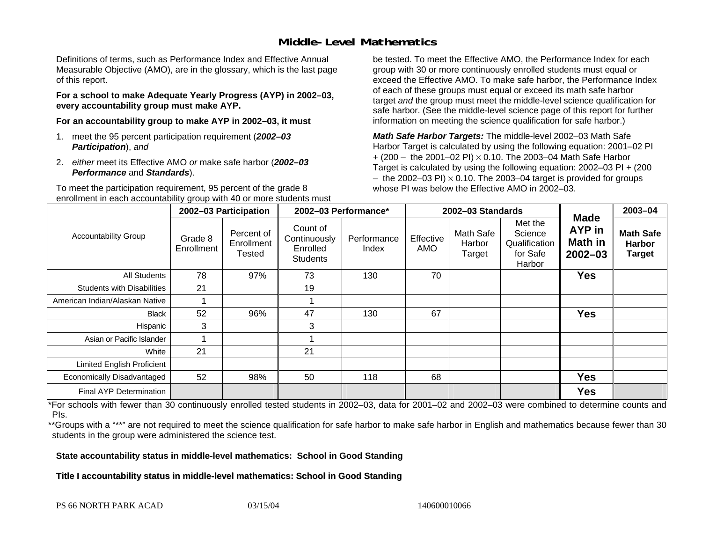## **Middle-Level Mathematics**

Definitions of terms, such as Performance Index and Effective Annual Measurable Objective (AMO), are in the glossary, which is the last page of this report.

**For a school to make Adequate Yearly Progress (AYP) in 2002–03, every accountability group must make AYP.** 

**For an accountability group to make AYP in 2002–03, it must** 

- 1. meet the 95 percent participation requirement (*2002–03 Participation*), *and*
- 2. *either* meet its Effective AMO *or* make safe harbor (*2002–03 Performance* and *Standards*).

To meet the participation requirement, 95 percent of the grade 8 enrollment in each accountability group with 40 or more students must

be tested. To meet the Effective AMO, the Performance Index for each group with 30 or more continuously enrolled students must equal or exceed the Effective AMO. To make safe harbor, the Performance Index of each of these groups must equal or exceed its math safe harbor target *and* the group must meet the middle-level science qualification for safe harbor. (See the middle-level science page of this report for further information on meeting the science qualification for safe harbor.)

*Math Safe Harbor Targets:* The middle-level 2002–03 Math Safe Harbor Target is calculated by using the following equation: 2001–02 PI + (200 – the 2001–02 PI) × 0.10. The 2003–04 Math Safe Harbor Target is calculated by using the following equation: 2002–03 PI + (200  $-$  the 2002–03 PI)  $\times$  0.10. The 2003–04 target is provided for groups whose PI was below the Effective AMO in 2002–03

| <b>Accountability Group</b>       | 2002-03 Participation |                                           | 2002-03 Performance*                                    |                      | 2002-03 Standards |                               |                                                           |                                                 | 2003-04                                            |
|-----------------------------------|-----------------------|-------------------------------------------|---------------------------------------------------------|----------------------|-------------------|-------------------------------|-----------------------------------------------------------|-------------------------------------------------|----------------------------------------------------|
|                                   | Grade 8<br>Enrollment | Percent of<br>Enrollment<br><b>Tested</b> | Count of<br>Continuously<br>Enrolled<br><b>Students</b> | Performance<br>Index | Effective<br>AMO  | Math Safe<br>Harbor<br>Target | Met the<br>Science<br>Qualification<br>for Safe<br>Harbor | <b>Made</b><br>AYP in<br>Math in<br>$2002 - 03$ | <b>Math Safe</b><br><b>Harbor</b><br><b>Target</b> |
| All Students                      | 78                    | 97%                                       | 73                                                      | 130                  | 70                |                               |                                                           | <b>Yes</b>                                      |                                                    |
| <b>Students with Disabilities</b> | 21                    |                                           | 19                                                      |                      |                   |                               |                                                           |                                                 |                                                    |
| American Indian/Alaskan Native    |                       |                                           |                                                         |                      |                   |                               |                                                           |                                                 |                                                    |
| <b>Black</b>                      | 52                    | 96%                                       | 47                                                      | 130                  | 67                |                               |                                                           | <b>Yes</b>                                      |                                                    |
| Hispanic                          | 3                     |                                           | 3                                                       |                      |                   |                               |                                                           |                                                 |                                                    |
| Asian or Pacific Islander         |                       |                                           |                                                         |                      |                   |                               |                                                           |                                                 |                                                    |
| White                             | 21                    |                                           | 21                                                      |                      |                   |                               |                                                           |                                                 |                                                    |
| Limited English Proficient        |                       |                                           |                                                         |                      |                   |                               |                                                           |                                                 |                                                    |
| Economically Disadvantaged        | 52                    | 98%                                       | 50                                                      | 118                  | 68                |                               |                                                           | <b>Yes</b>                                      |                                                    |
| Final AYP Determination           |                       |                                           |                                                         |                      |                   |                               |                                                           | <b>Yes</b>                                      |                                                    |

\*For schools with fewer than 30 continuously enrolled tested students in 2002–03, data for 2001–02 and 2002–03 were combined to determine counts and PIs.

\*\*Groups with a "\*\*" are not required to meet the science qualification for safe harbor to make safe harbor in English and mathematics because fewer than 30 students in the group were administered the science test.

**State accountability status in middle-level mathematics: School in Good Standing** 

Title I accountability status in middle-level mathematics: School in Good Standing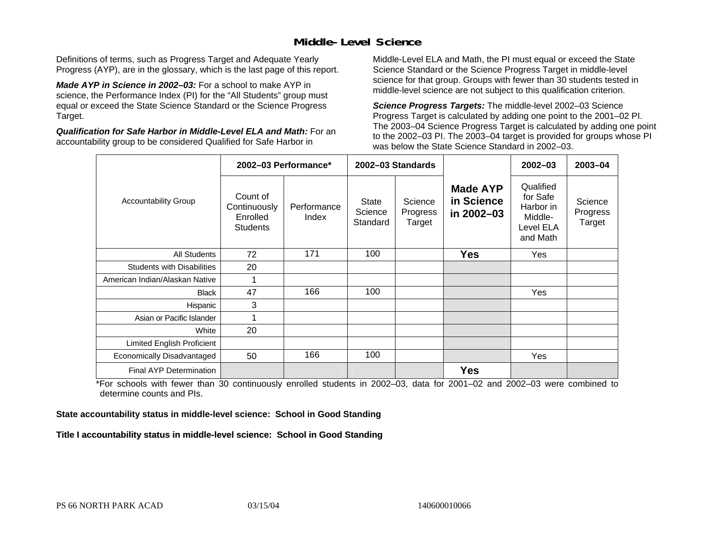## **Middle-Level Science**

Definitions of terms, such as Progress Target and Adequate Yearly Progress (AYP), are in the glossary, which is the last page of this report.

*Made AYP in Science in 2002–03:* For a school to make AYP in science, the Performance Index (PI) for the "All Students" group must equal or exceed the State Science Standard or the Science Progress Target.

*Qualification for Safe Harbor in Middle-Level ELA and Math:* For an accountability group to be considered Qualified for Safe Harbor in

Middle-Level ELA and Math, the PI must equal or exceed the State Science Standard or the Science Progress Target in middle-level science for that group. Groups with fewer than 30 students tested in middle-level science are not subject to this qualification criterion.

*Science Progress Targets:* The middle-level 2002–03 Science Progress Target is calculated by adding one point to the 2001–02 PI. The 2003–04 Science Progress Target is calculated by adding one point to the 2002–03 PI. The 2003–04 target is provided for groups whose PI was below the State Science Standard in 2002–03.

|                                   |                                                         | 2002-03 Performance* |                                     | 2002-03 Standards             |                                             | $2002 - 03$                                                            | $2003 - 04$                   |
|-----------------------------------|---------------------------------------------------------|----------------------|-------------------------------------|-------------------------------|---------------------------------------------|------------------------------------------------------------------------|-------------------------------|
| <b>Accountability Group</b>       | Count of<br>Continuously<br>Enrolled<br><b>Students</b> | Performance<br>Index | <b>State</b><br>Science<br>Standard | Science<br>Progress<br>Target | <b>Made AYP</b><br>in Science<br>in 2002-03 | Qualified<br>for Safe<br>Harbor in<br>Middle-<br>Level ELA<br>and Math | Science<br>Progress<br>Target |
| All Students                      | 72                                                      | 171                  | 100                                 |                               | <b>Yes</b>                                  | Yes                                                                    |                               |
| <b>Students with Disabilities</b> | 20                                                      |                      |                                     |                               |                                             |                                                                        |                               |
| American Indian/Alaskan Native    | 1                                                       |                      |                                     |                               |                                             |                                                                        |                               |
| <b>Black</b>                      | 47                                                      | 166                  | 100                                 |                               |                                             | Yes                                                                    |                               |
| Hispanic                          | 3                                                       |                      |                                     |                               |                                             |                                                                        |                               |
| Asian or Pacific Islander         | 1                                                       |                      |                                     |                               |                                             |                                                                        |                               |
| White                             | 20                                                      |                      |                                     |                               |                                             |                                                                        |                               |
| Limited English Proficient        |                                                         |                      |                                     |                               |                                             |                                                                        |                               |
| Economically Disadvantaged        | 50                                                      | 166                  | 100                                 |                               |                                             | Yes                                                                    |                               |
| <b>Final AYP Determination</b>    |                                                         |                      |                                     |                               | <b>Yes</b>                                  |                                                                        |                               |

\*For schools with fewer than 30 continuously enrolled students in 2002–03, data for 2001–02 and 2002–03 were combined to determine counts and PIs.

**State accountability status in middle-level science: School in Good Standing** 

Title I accountability status in middle-level science: School in Good Standing